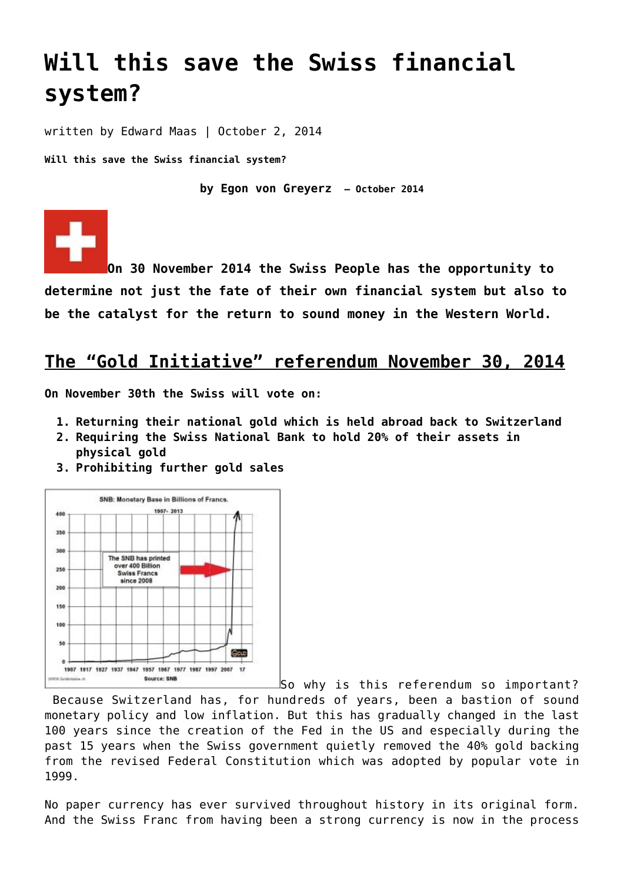# **[Will this save the Swiss financial](https://goldswitzerland.com/will-this-save-the-swiss-financial-system/) [system?](https://goldswitzerland.com/will-this-save-the-swiss-financial-system/)**

written by Edward Maas | October 2, 2014

**Will this save the Swiss financial system?**

**by Egon von Greyerz – October 2014**

**On 30 November 2014 the Swiss People has the opportunity to determine not just the fate of their own financial system but also to be the catalyst for the return to sound money in the Western World.**

# **The "Gold Initiative" referendum November 30, 2014**

**On November 30th the Swiss will vote on:**

- **1. Returning their national gold which is held abroad back to Switzerland**
- **2. Requiring the Swiss National Bank to hold 20% of their assets in physical gold**
- **3. Prohibiting further gold sales**

![](_page_0_Figure_10.jpeg)

[S](http://goldswitzerland.com/wp-content/uploads/2014/10/MoneyprintingSNB.jpg)o why is this referendum so important?

 Because Switzerland has, for hundreds of years, been a bastion of sound monetary policy and low inflation. But this has gradually changed in the last 100 years since the creation of the Fed in the US and especially during the past 15 years when the Swiss government quietly removed the 40% gold backing from the revised Federal Constitution which was adopted by popular vote in 1999.

No paper currency has ever survived throughout history in its original form. And the Swiss Franc from having been a strong currency is now in the process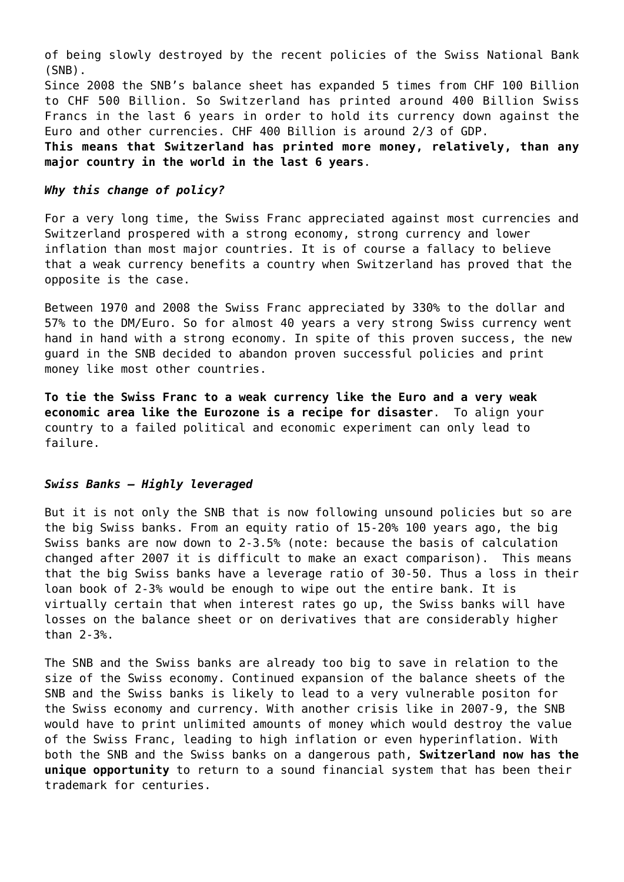of being slowly destroyed by the recent policies of the Swiss National Bank (SNB).

Since 2008 the SNB's balance sheet has expanded 5 times from CHF 100 Billion to CHF 500 Billion. So Switzerland has printed around 400 Billion Swiss Francs in the last 6 years in order to hold its currency down against the Euro and other currencies. CHF 400 Billion is around 2/3 of GDP.

**This means that Switzerland has printed more money, relatively, than any major country in the world in the last 6 years**.

## *Why this change of policy?*

For a very long time, the Swiss Franc appreciated against most currencies and Switzerland prospered with a strong economy, strong currency and lower inflation than most major countries. It is of course a fallacy to believe that a weak currency benefits a country when Switzerland has proved that the opposite is the case.

Between 1970 and 2008 the Swiss Franc appreciated by 330% to the dollar and 57% to the DM/Euro. So for almost 40 years a very strong Swiss currency went hand in hand with a strong economy. In spite of this proven success, the new guard in the SNB decided to abandon proven successful policies and print money like most other countries.

**To tie the Swiss Franc to a weak currency like the Euro and a very weak economic area like the Eurozone is a recipe for disaster**. To align your country to a failed political and economic experiment can only lead to failure.

### *Swiss Banks – Highly leveraged*

But it is not only the SNB that is now following unsound policies but so are the big Swiss banks. From an equity ratio of 15-20% 100 years ago, the big Swiss banks are now down to 2-3.5% (note: because the basis of calculation changed after 2007 it is difficult to make an exact comparison). This means that the big Swiss banks have a leverage ratio of 30-50. Thus a loss in their loan book of 2-3% would be enough to wipe out the entire bank. It is virtually certain that when interest rates go up, the Swiss banks will have losses on the balance sheet or on derivatives that are considerably higher than 2-3%.

The SNB and the Swiss banks are already too big to save in relation to the size of the Swiss economy. Continued expansion of the balance sheets of the SNB and the Swiss banks is likely to lead to a very vulnerable positon for the Swiss economy and currency. With another crisis like in 2007-9, the SNB would have to print unlimited amounts of money which would destroy the value of the Swiss Franc, leading to high inflation or even hyperinflation. With both the SNB and the Swiss banks on a dangerous path, **Switzerland now has the unique opportunity** to return to a sound financial system that has been their trademark for centuries.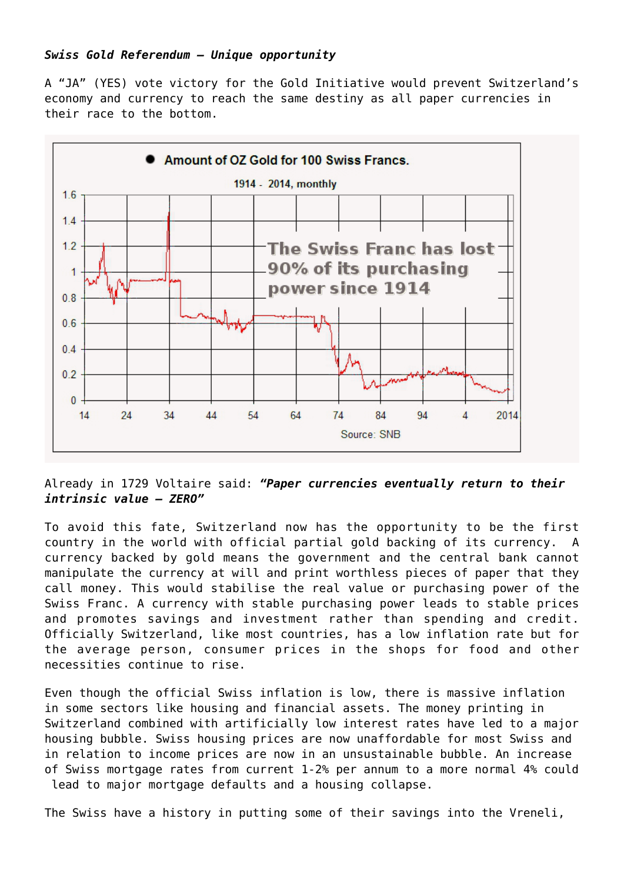# *Swiss Gold Referendum – Unique opportunity*

A "JA" (YES) vote victory for the [Gold Initiative](https://goldswitzerland.com/swiss-gold-initiative-2014/) would prevent Switzerland's economy and currency to reach the same destiny as all paper currencies in their race to the bottom.

![](_page_2_Figure_2.jpeg)

Already in 1729 Voltaire said: *"Paper currencies eventually return to their intrinsic value – ZERO"*

To avoid this fate, Switzerland now has the opportunity to be the first country in the world with official partial gold backing of its currency. A currency backed by gold means the government and the central bank cannot manipulate the currency at will and print worthless pieces of paper that they call money. This would stabilise the real value or purchasing power of the Swiss Franc. A currency with stable purchasing power leads to stable prices and promotes savings and investment rather than spending and credit. Officially Switzerland, like most countries, has a low inflation rate but for the average person, consumer prices in the shops for food and other necessities continue to rise.

Even though the official Swiss inflation is low, there is massive inflation in some sectors like housing and financial assets. The money printing in Switzerland combined with artificially low interest rates have led to a major housing bubble. Swiss housing prices are now unaffordable for most Swiss and in relation to income prices are now in an unsustainable bubble. An increase of Swiss mortgage rates from current 1-2% per annum to a more normal 4% could lead to major mortgage defaults and a housing collapse.

The Swiss have a history in putting some of their savings into the Vreneli,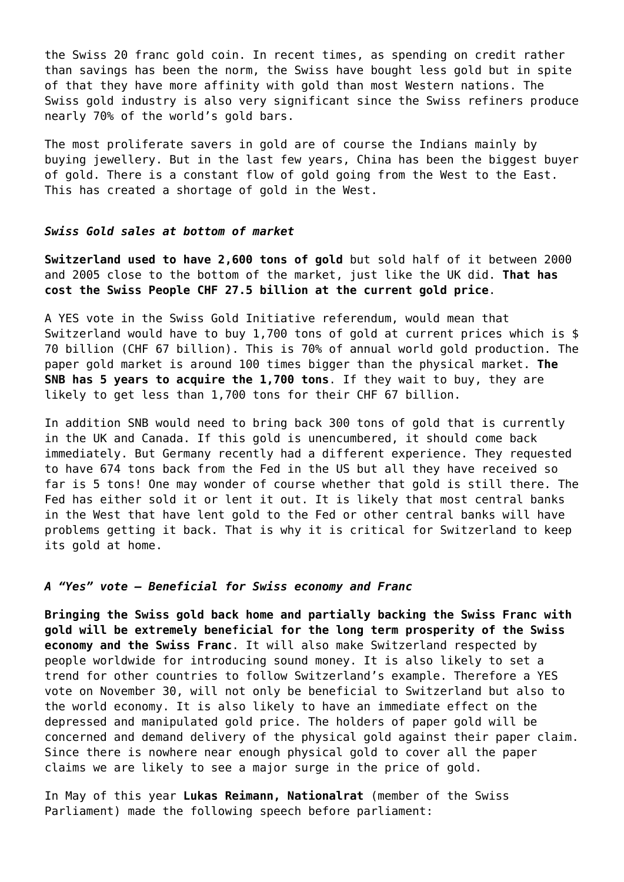the Swiss 20 franc gold coin. In recent times, as spending on credit rather than savings has been the norm, the Swiss have bought less gold but in spite of that they have more affinity with gold than most Western nations. The Swiss gold industry is also very significant since the Swiss refiners produce nearly 70% of the world's gold bars.

The most proliferate savers in gold are of course the Indians mainly by buying jewellery. But in the last few years, China has been the biggest buyer of gold. There is a constant flow of gold going from the West to the East. This has created a shortage of gold in the West.

### *Swiss Gold sales at bottom of market*

**Switzerland used to have 2,600 tons of gold** but sold half of it between 2000 and 2005 close to the bottom of the market, just like the UK did. **That has cost the Swiss People CHF 27.5 billion at the current gold price**.

A YES vote in the Swiss Gold Initiative referendum, would mean that Switzerland would have to buy 1,700 tons of gold at current prices which is \$ 70 billion (CHF 67 billion). This is 70% of annual world gold production. The paper gold market is around 100 times bigger than the physical market. **The SNB has 5 years to acquire the 1,700 tons**. If they wait to buy, they are likely to get less than 1,700 tons for their CHF 67 billion.

In addition SNB would need to bring back 300 tons of gold that is currently in the UK and Canada. If this gold is unencumbered, it should come back immediately. But Germany recently had a different experience. They requested to have 674 tons back from the Fed in the US but all they have received so far is 5 tons! One may wonder of course whether that gold is still there. The Fed has either sold it or lent it out. It is likely that most central banks in the West that have lent gold to the Fed or other central banks will have problems getting it back. That is why it is critical for Switzerland to keep its gold at home.

#### *A "Yes" vote – Beneficial for Swiss economy and Franc*

**Bringing the Swiss gold back home and partially backing the Swiss Franc with gold will be extremely beneficial for the long term prosperity of the Swiss economy and the Swiss Franc**. It will also make Switzerland respected by people worldwide for introducing sound money. It is also likely to set a trend for other countries to follow Switzerland's example. Therefore a YES vote on November 30, will not only be beneficial to Switzerland but also to the world economy. It is also likely to have an immediate effect on the depressed and manipulated gold price. The holders of paper gold will be concerned and demand delivery of the physical gold against their paper claim. Since there is nowhere near enough physical gold to cover all the paper claims we are likely to see a major surge in the price of gold.

In May of this year **Lukas Reimann, Nationalrat** (member of the Swiss Parliament) made the following speech before parliament: